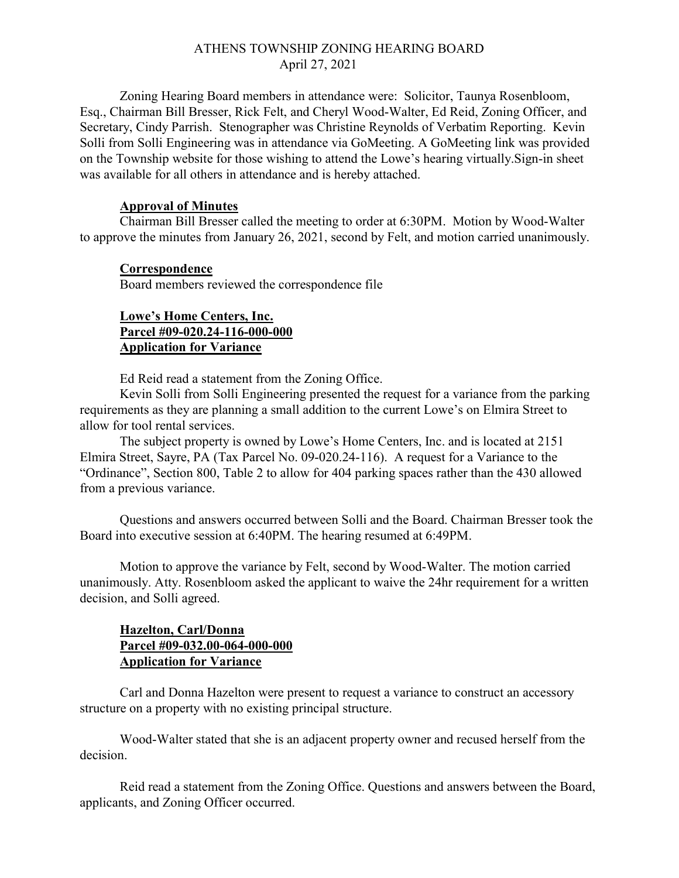## ATHENS TOWNSHIP ZONING HEARING BOARD April 27, 2021

Zoning Hearing Board members in attendance were: Solicitor, Taunya Rosenbloom, Esq., Chairman Bill Bresser, Rick Felt, and Cheryl Wood-Walter, Ed Reid, Zoning Officer, and Secretary, Cindy Parrish. Stenographer was Christine Reynolds of Verbatim Reporting. Kevin Solli from Solli Engineering was in attendance via GoMeeting. A GoMeeting link was provided on the Township website for those wishing to attend the Lowe's hearing virtually.Sign-in sheet was available for all others in attendance and is hereby attached.

#### Approval of Minutes

Chairman Bill Bresser called the meeting to order at 6:30PM. Motion by Wood-Walter to approve the minutes from January 26, 2021, second by Felt, and motion carried unanimously.

#### Correspondence

Board members reviewed the correspondence file

# Lowe's Home Centers, Inc. Parcel #09-020.24-116-000-000 Application for Variance

Ed Reid read a statement from the Zoning Office.

Kevin Solli from Solli Engineering presented the request for a variance from the parking requirements as they are planning a small addition to the current Lowe's on Elmira Street to allow for tool rental services.

The subject property is owned by Lowe's Home Centers, Inc. and is located at 2151 Elmira Street, Sayre, PA (Tax Parcel No. 09-020.24-116). A request for a Variance to the "Ordinance", Section 800, Table 2 to allow for 404 parking spaces rather than the 430 allowed from a previous variance.

 Questions and answers occurred between Solli and the Board. Chairman Bresser took the Board into executive session at 6:40PM. The hearing resumed at 6:49PM.

 Motion to approve the variance by Felt, second by Wood-Walter. The motion carried unanimously. Atty. Rosenbloom asked the applicant to waive the 24hr requirement for a written decision, and Solli agreed.

# Hazelton, Carl/Donna Parcel #09-032.00-064-000-000 Application for Variance

 Carl and Donna Hazelton were present to request a variance to construct an accessory structure on a property with no existing principal structure.

 Wood-Walter stated that she is an adjacent property owner and recused herself from the decision.

 Reid read a statement from the Zoning Office. Questions and answers between the Board, applicants, and Zoning Officer occurred.